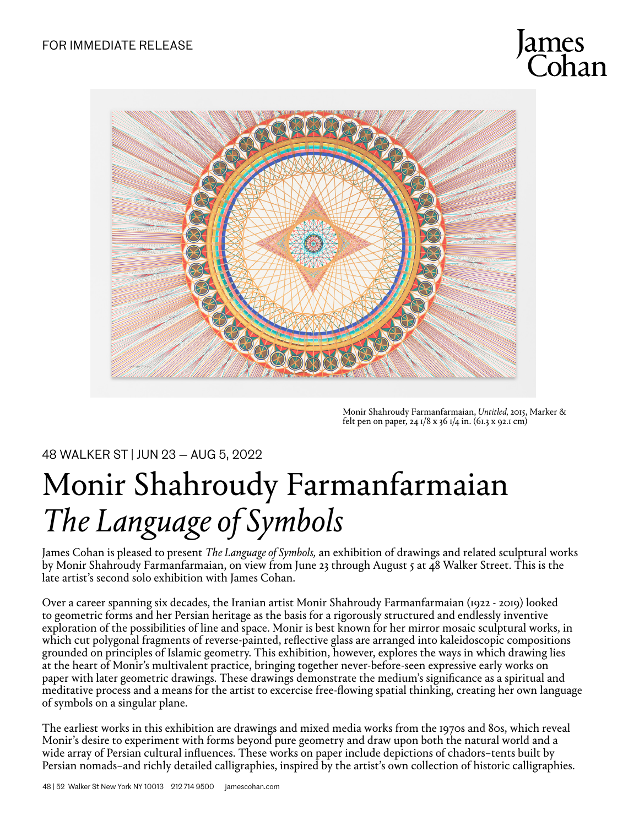

Monir Shahroudy Farmanfarmaian, *Untitled,* 2015, Marker & felt pen on paper, 24  $1/8$  x 36  $1/4$  in. (61.3 x 92.1 cm)

48 WALKER ST | JUN 23 — AUG 5, 2022

## Monir Shahroudy Farmanfarmaian *The Language of Symbols*

James Cohan is pleased to present *The Language of Symbols,* an exhibition of drawings and related sculptural works by Monir Shahroudy Farmanfarmaian, on view from June 23 through August 5 at 48 Walker Street. This is the late artist's second solo exhibition with James Cohan.

Over a career spanning six decades, the Iranian artist Monir Shahroudy Farmanfarmaian (1922 - 2019) looked to geometric forms and her Persian heritage as the basis for a rigorously structured and endlessly inventive exploration of the possibilities of line and space. Monir is best known for her mirror mosaic sculptural works, in which cut polygonal fragments of reverse-painted, reflective glass are arranged into kaleidoscopic compositions grounded on principles of Islamic geometry. This exhibition, however, explores the ways in which drawing lies at the heart of Monir's multivalent practice, bringing together never-before-seen expressive early works on paper with later geometric drawings. These drawings demonstrate the medium's significance as a spiritual and meditative process and a means for the artist to excercise free-flowing spatial thinking, creating her own language of symbols on a singular plane.

The earliest works in this exhibition are drawings and mixed media works from the 1970s and 80s, which reveal Monir's desire to experiment with forms beyond pure geometry and draw upon both the natural world and a wide array of Persian cultural influences. These works on paper include depictions of chadors–tents built by Persian nomads–and richly detailed calligraphies, inspired by the artist's own collection of historic calligraphies.